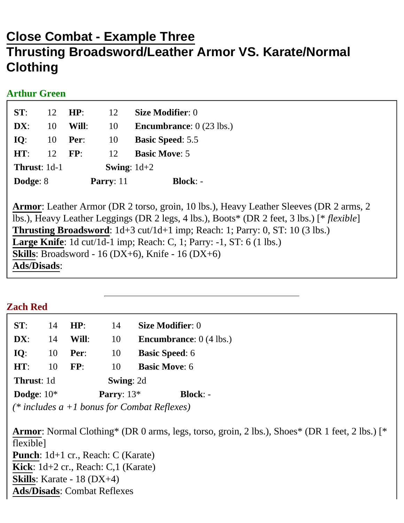# **Close Combat - Example Three Thrusting Broadsword/Leather Armor VS. Karate/Normal Clothing**

#### **Arthur Green**

| ST:                 | 12 | HP:         | 12                   | <b>Size Modifier: 0</b>                  |
|---------------------|----|-------------|----------------------|------------------------------------------|
| DX:                 | 10 | Will:       | 10                   | <b>Encumbrance:</b> $0(23 \text{ lbs.})$ |
| IO:                 | 10 | Per:        | 10                   | <b>Basic Speed: 5.5</b>                  |
| HT:                 | 12 | FP:         | 12                   | <b>Basic Move: 5</b>                     |
| <b>Thrust: 1d-1</b> |    |             | <b>Swing:</b> $1d+2$ |                                          |
| Dodge: 8            |    | Parry: $11$ |                      | $Block: -$                               |

**Armor**: Leather Armor (DR 2 torso, groin, 10 lbs.), Heavy Leather Sleeves (DR 2 arms, 2 lbs.), Heavy Leather Leggings (DR 2 legs, 4 lbs.), Boots\* (DR 2 feet, 3 lbs.) [\* *flexible*] **Thrusting Broadsword**: 1d+3 cut/1d+1 imp; Reach: 1; Parry: 0, ST: 10 (3 lbs.) **Large Knife**: 1d cut/1d-1 imp; Reach: C, 1; Parry: -1, ST: 6 (1 lbs.) **Skills**: Broadsword - 16 (DX+6), Knife - 16 (DX+6) **Ads/Disads**:

## **Zach Red**

| ST:          | 14 | HP:              | 14           | <b>Size Modifier: 0</b>          |
|--------------|----|------------------|--------------|----------------------------------|
| DX:          | 14 | Will:            | 10           | <b>Encumbrance:</b> $0$ (4 lbs.) |
| IO:          | 10 | Per:             | 10           | <b>Basic Speed: 6</b>            |
| HT:          | 10 | FP:              | 10           | <b>Basic Move: 6</b>             |
| Thrust: 1d   |    | <b>Swing: 2d</b> |              |                                  |
| Dodge: $10*$ |    |                  | Parry: $13*$ | <b>Block: -</b>                  |
|              |    |                  |              |                                  |

*(\* includes a +1 bonus for Combat Reflexes)*

**Armor**: Normal Clothing\* (DR 0 arms, legs, torso, groin, 2 lbs.), Shoes\* (DR 1 feet, 2 lbs.) [\* flexible] **Punch**: 1d+1 cr., Reach: C (Karate) **Kick**: 1d+2 cr., Reach: C,1 (Karate) **Skills**: Karate - 18 (DX+4) **Ads/Disads**: Combat Reflexes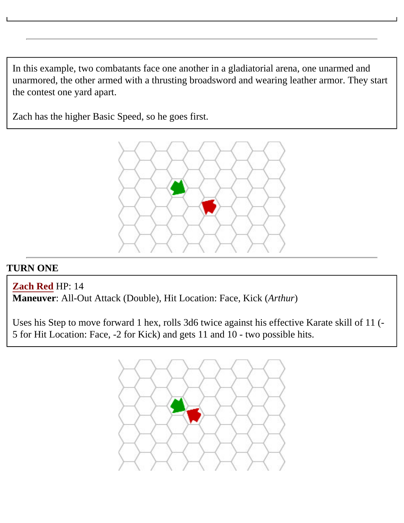In this example, two combatants face one another in a gladiatorial arena, one unarmed and unarmored, the other armed with a thrusting broadsword and wearing leather armor. They start the contest one yard apart.

Zach has the higher Basic Speed, so he goes first.



## **TURN ONE**

**Zach Red** HP: 14

**Maneuver**: All-Out Attack (Double), Hit Location: Face, Kick (*Arthur*)

Uses his Step to move forward 1 hex, rolls 3d6 twice against his effective Karate skill of 11 (- 5 for Hit Location: Face, -2 for Kick) and gets 11 and 10 - two possible hits.

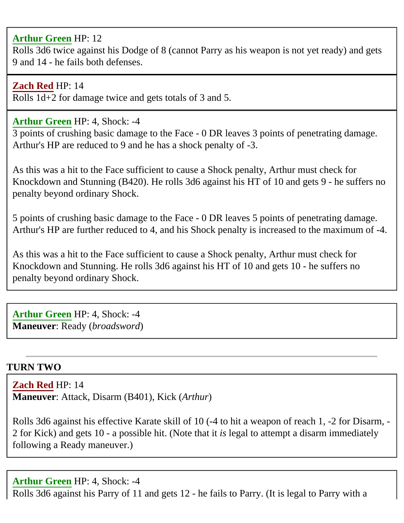#### **Arthur Green** HP: 12

Rolls 3d6 twice against his Dodge of 8 (cannot Parry as his weapon is not yet ready) and gets 9 and 14 - he fails both defenses.

#### **Zach Red** HP: 14

Rolls 1d+2 for damage twice and gets totals of 3 and 5.

#### **Arthur Green** HP: 4, Shock: -4

3 points of crushing basic damage to the Face - 0 DR leaves 3 points of penetrating damage. Arthur's HP are reduced to 9 and he has a shock penalty of -3.

As this was a hit to the Face sufficient to cause a Shock penalty, Arthur must check for Knockdown and Stunning (B420). He rolls 3d6 against his HT of 10 and gets 9 - he suffers no penalty beyond ordinary Shock.

5 points of crushing basic damage to the Face - 0 DR leaves 5 points of penetrating damage. Arthur's HP are further reduced to 4, and his Shock penalty is increased to the maximum of -4.

As this was a hit to the Face sufficient to cause a Shock penalty, Arthur must check for Knockdown and Stunning. He rolls 3d6 against his HT of 10 and gets 10 - he suffers no penalty beyond ordinary Shock.

**Arthur Green** HP: 4, Shock: -4 **Maneuver**: Ready (*broadsword*)

## **TURN TWO**

**Zach Red** HP: 14 **Maneuver**: Attack, Disarm (B401), Kick (*Arthur*)

Rolls 3d6 against his effective Karate skill of 10 (-4 to hit a weapon of reach 1, -2 for Disarm, - 2 for Kick) and gets 10 - a possible hit. (Note that it *is* legal to attempt a disarm immediately following a Ready maneuver.)

#### **Arthur Green** HP: 4, Shock: -4

Rolls 3d6 against his Parry of 11 and gets 12 - he fails to Parry. (It is legal to Parry with a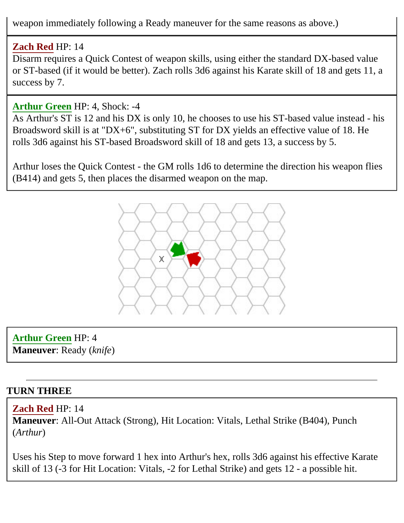weapon immediately following a Ready maneuver for the same reasons as above.)

# **Zach Red** HP: 14

Disarm requires a Quick Contest of weapon skills, using either the standard DX-based value or ST-based (if it would be better). Zach rolls 3d6 against his Karate skill of 18 and gets 11, a success by 7.

# **Arthur Green** HP: 4, Shock: -4

As Arthur's ST is 12 and his DX is only 10, he chooses to use his ST-based value instead - his Broadsword skill is at "DX+6", substituting ST for DX yields an effective value of 18. He rolls 3d6 against his ST-based Broadsword skill of 18 and gets 13, a success by 5.

Arthur loses the Quick Contest - the GM rolls 1d6 to determine the direction his weapon flies (B414) and gets 5, then places the disarmed weapon on the map.



**Arthur Green** HP: 4 **Maneuver**: Ready (*knife*)

# **TURN THREE**

# **Zach Red** HP: 14

**Maneuver**: All-Out Attack (Strong), Hit Location: Vitals, Lethal Strike (B404), Punch (*Arthur*)

Uses his Step to move forward 1 hex into Arthur's hex, rolls 3d6 against his effective Karate skill of 13 (-3 for Hit Location: Vitals, -2 for Lethal Strike) and gets 12 - a possible hit.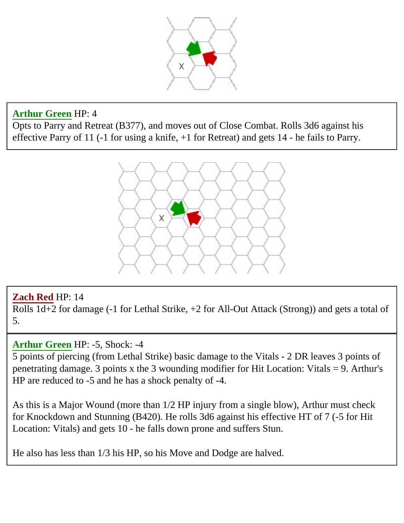

## **Arthur Green** HP: 4

Opts to Parry and Retreat (B377), and moves out of Close Combat. Rolls 3d6 against his effective Parry of 11 (-1 for using a knife, +1 for Retreat) and gets 14 - he fails to Parry.



# **Zach Red** HP: 14

Rolls 1d+2 for damage (-1 for Lethal Strike, +2 for All-Out Attack (Strong)) and gets a total of 5.

## **Arthur Green** HP: -5, Shock: -4

5 points of piercing (from Lethal Strike) basic damage to the Vitals - 2 DR leaves 3 points of penetrating damage. 3 points x the 3 wounding modifier for Hit Location: Vitals = 9. Arthur's HP are reduced to -5 and he has a shock penalty of -4.

As this is a Major Wound (more than 1/2 HP injury from a single blow), Arthur must check for Knockdown and Stunning (B420). He rolls 3d6 against his effective HT of 7 (-5 for Hit Location: Vitals) and gets 10 - he falls down prone and suffers Stun.

He also has less than 1/3 his HP, so his Move and Dodge are halved.